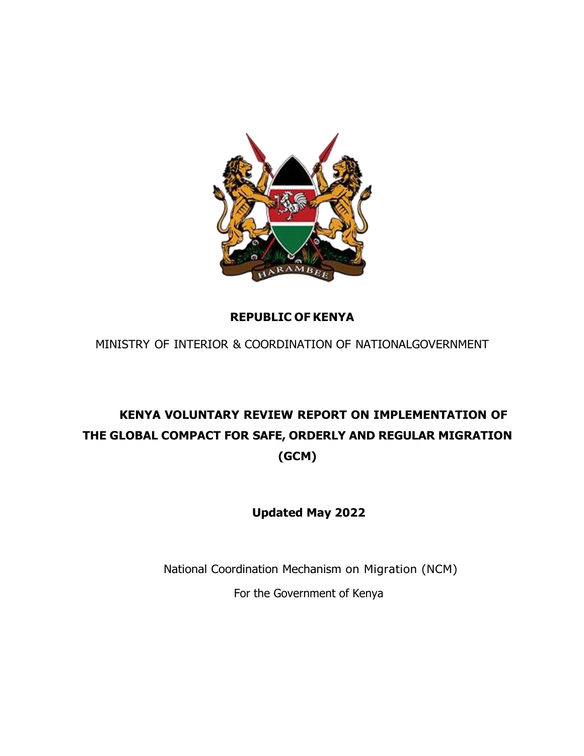

### **REPUBLIC OF KENYA**

MINISTRY OF INTERIOR & COORDINATION OF NATIONALGOVERNMENT

## **KENYA VOLUNTARY REVIEW REPORT ON IMPLEMENTATION OF THE GLOBAL COMPACT FOR SAFE, ORDERLY AND REGULAR MIGRATION (GCM)**

**Updated May 2022**

National Coordination Mechanism on Migration (NCM) For the Government of Kenya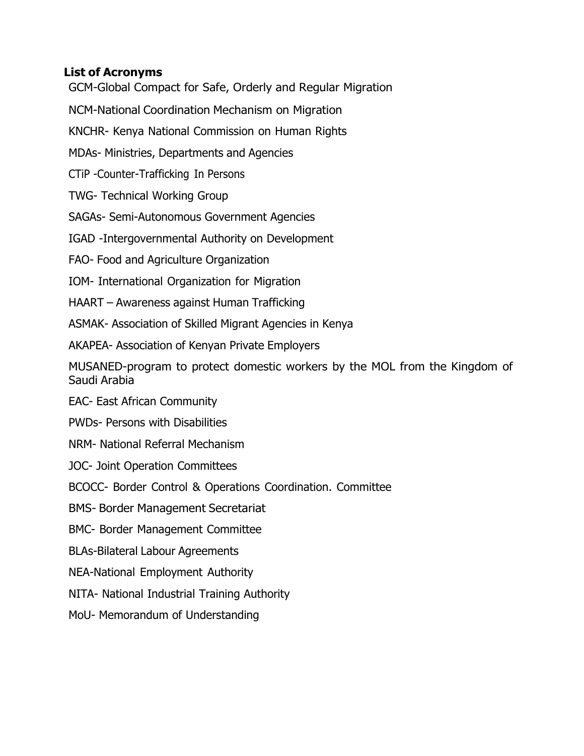### <span id="page-1-0"></span>**List of Acronyms**

GCM-Global Compact for Safe, Orderly and Regular Migration

NCM-National Coordination Mechanism on Migration

KNCHR- Kenya National Commission on Human Rights

MDAs- Ministries, Departments and Agencies

CTiP -Counter-Trafficking In Persons

TWG- Technical Working Group

SAGAs- Semi-Autonomous Government Agencies

IGAD -Intergovernmental Authority on Development

FAO- Food and Agriculture Organization

IOM- International Organization for Migration

HAART – Awareness against Human Trafficking

ASMAK- Association of Skilled Migrant Agencies in Kenya

AKAPEA- Association of Kenyan Private Employers

MUSANED-program to protect domestic workers by the MOL from the Kingdom of Saudi Arabia

EAC- East African Community

PWDs- Persons with Disabilities

NRM- National Referral Mechanism

JOC- Joint Operation Committees

BCOCC- Border Control & Operations Coordination. Committee

BMS- Border Management Secretariat

BMC- Border Management Committee

BLAs-Bilateral Labour Agreements

NEA-National Employment Authority

NITA- National Industrial Training Authority

MoU- Memorandum of Understanding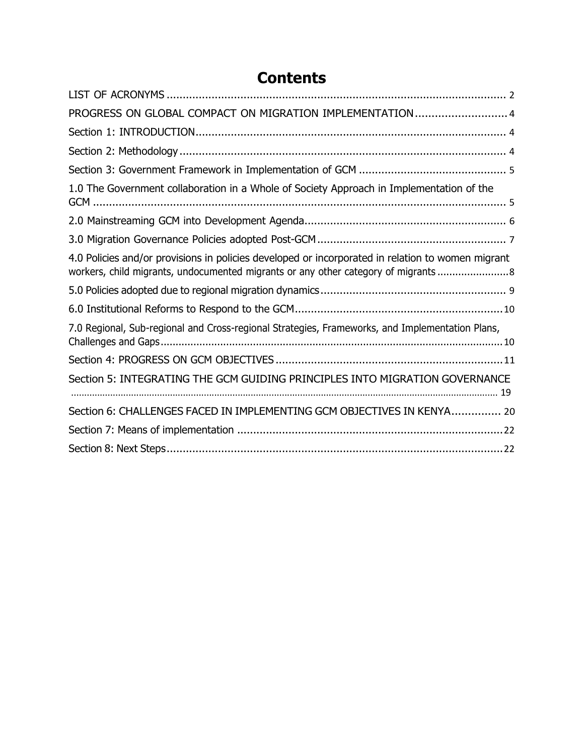| PROGRESS ON GLOBAL COMPACT ON MIGRATION IMPLEMENTATION 4                                                                                                                              |
|---------------------------------------------------------------------------------------------------------------------------------------------------------------------------------------|
|                                                                                                                                                                                       |
|                                                                                                                                                                                       |
|                                                                                                                                                                                       |
| 1.0 The Government collaboration in a Whole of Society Approach in Implementation of the                                                                                              |
|                                                                                                                                                                                       |
|                                                                                                                                                                                       |
| 4.0 Policies and/or provisions in policies developed or incorporated in relation to women migrant<br>workers, child migrants, undocumented migrants or any other category of migrants |
|                                                                                                                                                                                       |
|                                                                                                                                                                                       |
| 7.0 Regional, Sub-regional and Cross-regional Strategies, Frameworks, and Implementation Plans,                                                                                       |
|                                                                                                                                                                                       |
| Section 5: INTEGRATING THE GCM GUIDING PRINCIPLES INTO MIGRATION GOVERNANCE                                                                                                           |
| Section 6: CHALLENGES FACED IN IMPLEMENTING GCM OBJECTIVES IN KENYA 20                                                                                                                |
|                                                                                                                                                                                       |
|                                                                                                                                                                                       |

# **Contents**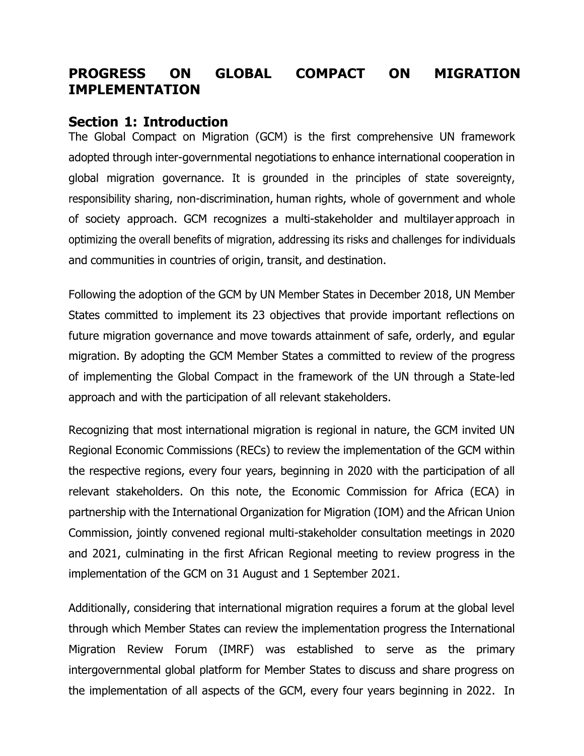### <span id="page-3-1"></span><span id="page-3-0"></span>**PROGRESS ON GLOBAL COMPACT ON MIGRATION IMPLEMENTATION**

### **Section 1: Introduction**

The Global Compact on Migration (GCM) is the first comprehensive UN framework adopted through inter-governmental negotiations to enhance international cooperation in global migration governance. It is grounded in the principles of state sovereignty, responsibility sharing, non-discrimination, human rights, whole of government and whole of society approach. GCM recognizes a multi-stakeholder and multilayer approach in optimizing the overall benefits of migration, addressing its risks and challenges for individuals and communities in countries of origin, transit, and destination.

Following the adoption of the GCM by UN Member States in December 2018, UN Member States committed to implement its 23 objectives that provide important reflections on future migration governance and move towards attainment of safe, orderly, and egular migration. By adopting the GCM Member States a committed to review of the progress of implementing the Global Compact in the framework of the UN through a State-led approach and with the participation of all relevant stakeholders.

Recognizing that most international migration is regional in nature, the GCM invited UN Regional Economic Commissions (RECs) to review the implementation of the GCM within the respective regions, every four years, beginning in 2020 with the participation of all relevant stakeholders. On this note, the Economic Commission for Africa (ECA) in partnership with the International Organization for Migration (IOM) and the African Union Commission, jointly convened regional multi-stakeholder consultation meetings in 2020 and 2021, culminating in the first African Regional meeting to review progress in the implementation of the GCM on 31 August and 1 September 2021.

Additionally, considering that international migration requires a forum at the global level through which Member States can review the implementation progress the International Migration Review Forum (IMRF) was established to serve as the primary intergovernmental global platform for Member States to discuss and share progress on the implementation of all aspects of the GCM, every four years beginning in 2022. In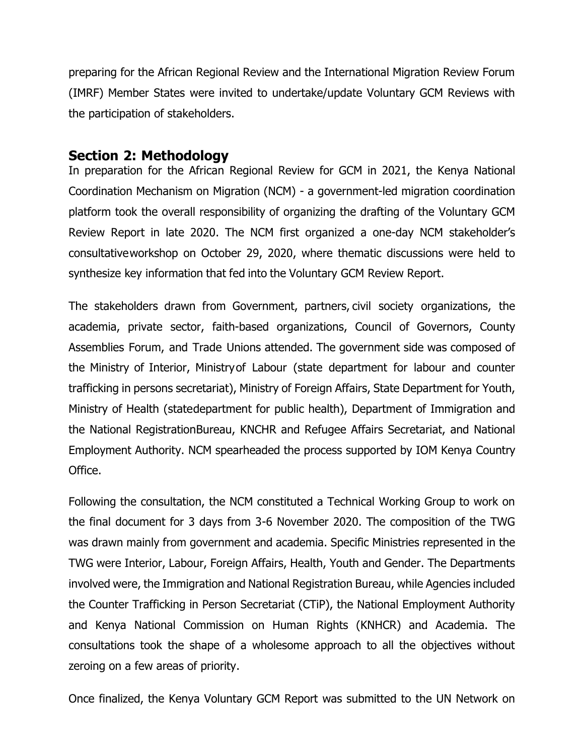preparing for the African Regional Review and the International Migration Review Forum (IMRF) Member States were invited to undertake/update Voluntary GCM Reviews with the participation of stakeholders.

### <span id="page-4-0"></span>**Section 2: Methodology**

In preparation for the African Regional Review for GCM in 2021, the Kenya National Coordination Mechanism on Migration (NCM) - a government-led migration coordination platform took the overall responsibility of organizing the drafting of the Voluntary GCM Review Report in late 2020. The NCM first organized a one-day NCM stakeholder's consultative workshop on October 29, 2020, where thematic discussions were held to synthesize key information that fed into the Voluntary GCM Review Report.

The stakeholders drawn from Government, partners, civil society organizations, the academia, private sector, faith-based organizations, Council of Governors, County Assemblies Forum, and Trade Unions attended. The government side was composed of the Ministry of Interior, Ministryof Labour (state department for labour and counter trafficking in persons secretariat), Ministry of Foreign Affairs, State Department for Youth, Ministry of Health (state department for public health), Department of Immigration and the National RegistrationBureau, KNCHR and Refugee Affairs Secretariat, and National Employment Authority. NCM spearheaded the process supported by IOM Kenya Country Office.

Following the consultation, the NCM constituted a Technical Working Group to work on the final document for 3 days from 3-6 November 2020. The composition of the TWG was drawn mainly from government and academia. Specific Ministries represented in the TWG were Interior, Labour, Foreign Affairs, Health, Youth and Gender. The Departments involved were, the Immigration and National Registration Bureau, while Agencies included the Counter Trafficking in Person Secretariat (CTiP), the National Employment Authority and Kenya National Commission on Human Rights (KNHCR) and Academia. The consultations took the shape of a wholesome approach to all the objectives without zeroing on a few areas of priority.

Once finalized, the Kenya Voluntary GCM Report was submitted to the UN Network on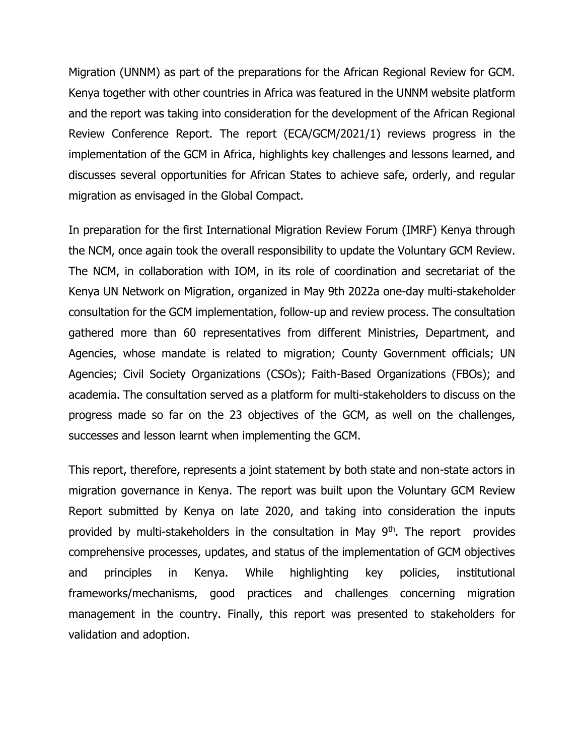Migration (UNNM) as part of the preparations for the African Regional Review for GCM. Kenya together with other countries in Africa was featured in the UNNM website platform and the report was taking into consideration for the development of the African Regional Review Conference Report. The report (ECA/GCM/2021/1) reviews progress in the implementation of the GCM in Africa, highlights key challenges and lessons learned, and discusses several opportunities for African States to achieve safe, orderly, and regular migration as envisaged in the Global Compact.

In preparation for the first International Migration Review Forum (IMRF) Kenya through the NCM, once again took the overall responsibility to update the Voluntary GCM Review. The NCM, in collaboration with IOM, in its role of coordination and secretariat of the Kenya UN Network on Migration, organized in May 9th 2022a one-day multi-stakeholder consultation for the GCM implementation, follow-up and review process. The consultation gathered more than 60 representatives from different Ministries, Department, and Agencies, whose mandate is related to migration; County Government officials; UN Agencies; Civil Society Organizations (CSOs); Faith-Based Organizations (FBOs); and academia. The consultation served as a platform for multi-stakeholders to discuss on the progress made so far on the 23 objectives of the GCM, as well on the challenges, successes and lesson learnt when implementing the GCM.

This report, therefore, represents a joint statement by both state and non-state actors in migration governance in Kenya. The report was built upon the Voluntary GCM Review Report submitted by Kenya on late 2020, and taking into consideration the inputs provided by multi-stakeholders in the consultation in May 9<sup>th</sup>. The report provides comprehensive processes, updates, and status of the implementation of GCM objectives and principles in Kenya. While highlighting key policies, institutional frameworks/mechanisms, good practices and challenges concerning migration management in the country. Finally, this report was presented to stakeholders for validation and adoption.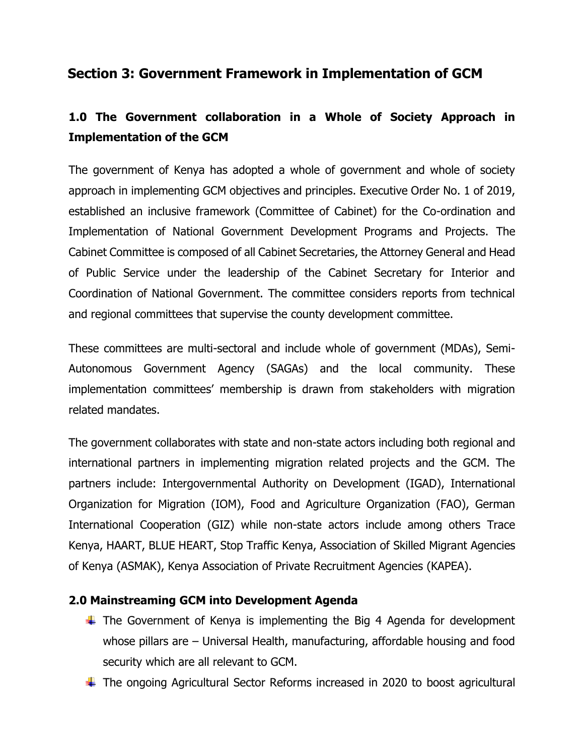### **Section 3: Government Framework in Implementation of GCM**

### **1.0 The Government collaboration in a Whole of Society Approach in Implementation of the GCM**

The government of Kenya has adopted a whole of government and whole of society approach in implementing GCM objectives and principles. Executive Order No. 1 of 2019, established an inclusive framework (Committee of Cabinet) for the Co-ordination and Implementation of National Government Development Programs and Projects. The Cabinet Committee is composed of all Cabinet Secretaries, the Attorney General and Head of Public Service under the leadership of the Cabinet Secretary for Interior and Coordination of National Government. The committee considers reports from technical and regional committees that supervise the county development committee.

These committees are multi-sectoral and include whole of government (MDAs), Semi-Autonomous Government Agency (SAGAs) and the local community. These implementation committees' membership is drawn from stakeholders with migration related mandates.

The government collaborates with state and non-state actors including both regional and international partners in implementing migration related projects and the GCM. The partners include: Intergovernmental Authority on Development (IGAD), International Organization for Migration (IOM), Food and Agriculture Organization (FAO), German International Cooperation (GIZ) while non-state actors include among others Trace Kenya, HAART, BLUE HEART, Stop Traffic Kenya, Association of Skilled Migrant Agencies of Kenya (ASMAK), Kenya Association of Private Recruitment Agencies (KAPEA).

#### **2.0 Mainstreaming GCM into Development Agenda**

- $\ddot$  The Government of Kenya is implementing the Big 4 Agenda for development whose pillars are – Universal Health, manufacturing, affordable housing and food security which are all relevant to GCM.
- The ongoing Agricultural Sector Reforms increased in 2020 to boost agricultural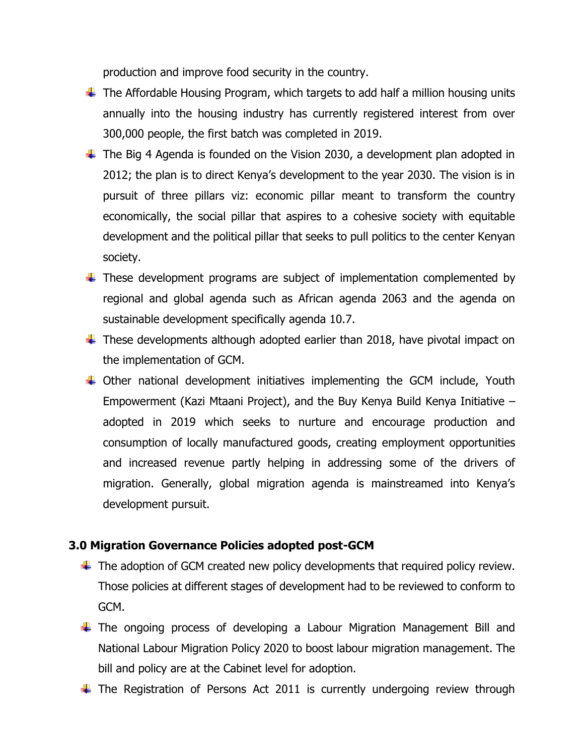production and improve food security in the country.

- $\ddotplus$  The Affordable Housing Program, which targets to add half a million housing units annually into the housing industry has currently registered interest from over 300,000 people, the first batch was completed in 2019.
- $\ddot$  The Big 4 Agenda is founded on the Vision 2030, a development plan adopted in 2012; the plan is to direct Kenya's development to the year 2030. The vision is in pursuit of three pillars viz: economic pillar meant to transform the country economically, the social pillar that aspires to a cohesive society with equitable development and the political pillar that seeks to pull politics to the center Kenyan society.
- $\ddot$  These development programs are subject of implementation complemented by regional and global agenda such as African agenda 2063 and the agenda on sustainable development specifically agenda 10.7.
- $\ddotplus$  These developments although adopted earlier than 2018, have pivotal impact on the implementation of GCM.
- $\downarrow$  Other national development initiatives implementing the GCM include, Youth Empowerment (Kazi Mtaani Project), and the Buy Kenya Build Kenya Initiative – adopted in 2019 which seeks to nurture and encourage production and consumption of locally manufactured goods, creating employment opportunities and increased revenue partly helping in addressing some of the drivers of migration. Generally, global migration agenda is mainstreamed into Kenya's development pursuit.

#### **3.0 Migration Governance Policies adopted post-GCM**

- $\ddotplus$  The adoption of GCM created new policy developments that required policy review. Those policies at different stages of development had to be reviewed to conform to GCM.
- $\ddot$  The ongoing process of developing a Labour Migration Management Bill and National Labour Migration Policy 2020 to boost labour migration management. The bill and policy are at the Cabinet level for adoption.
- $\ddot$  The Registration of Persons Act 2011 is currently undergoing review through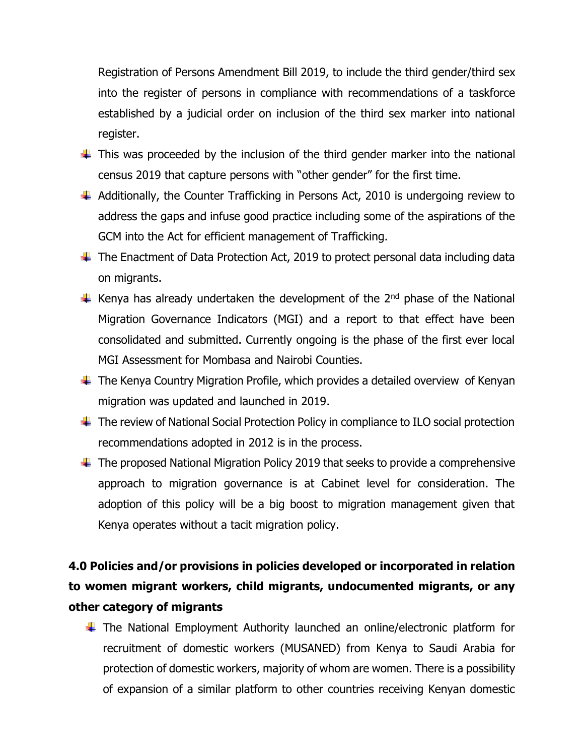Registration of Persons Amendment Bill 2019, to include the third gender/third sex into the register of persons in compliance with recommendations of a taskforce established by a judicial order on inclusion of the third sex marker into national register.

- $\ddot{\phantom{1}}$  This was proceeded by the inclusion of the third gender marker into the national census 2019 that capture persons with "other gender" for the first time.
- $\ddot{+}$  Additionally, the Counter Trafficking in Persons Act, 2010 is undergoing review to address the gaps and infuse good practice including some of the aspirations of the GCM into the Act for efficient management of Trafficking.
- $\ddot{+}$  The Enactment of Data Protection Act, 2019 to protect personal data including data on migrants.
- Kenya has already undertaken the development of the  $2<sup>nd</sup>$  phase of the National Migration Governance Indicators (MGI) and a report to that effect have been consolidated and submitted. Currently ongoing is the phase of the first ever local MGI Assessment for Mombasa and Nairobi Counties.
- $\ddot{+}$  The Kenya Country Migration Profile, which provides a detailed overview of Kenyan migration was updated and launched in 2019.
- The review of National Social Protection Policy in compliance to ILO social protection recommendations adopted in 2012 is in the process.
- $\ddot{+}$  The proposed National Migration Policy 2019 that seeks to provide a comprehensive approach to migration governance is at Cabinet level for consideration. The adoption of this policy will be a big boost to migration management given that Kenya operates without a tacit migration policy.

## **4.0 Policies and/or provisions in policies developed or incorporated in relation to women migrant workers, child migrants, undocumented migrants, or any other category of migrants**

 $\ddot$  The National Employment Authority launched an online/electronic platform for recruitment of domestic workers (MUSANED) from Kenya to Saudi Arabia for protection of domestic workers, majority of whom are women. There is a possibility of expansion of a similar platform to other countries receiving Kenyan domestic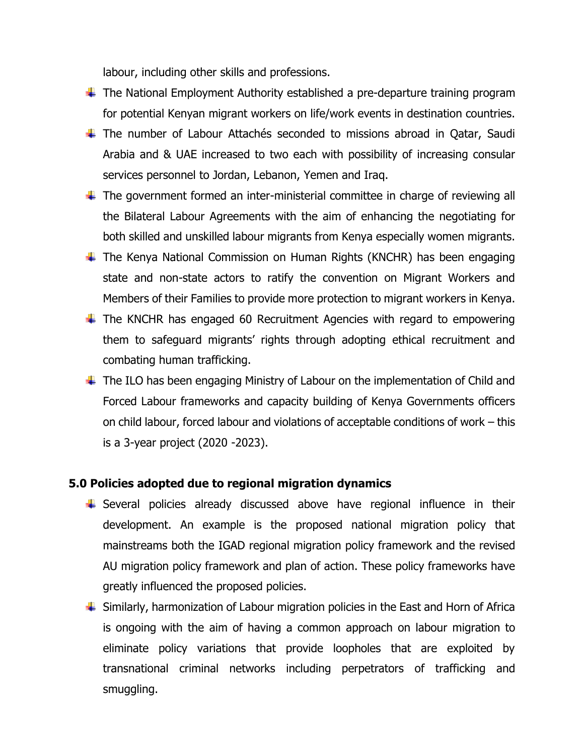labour, including other skills and professions.

- $\ddot$  The National Employment Authority established a pre-departure training program for potential Kenyan migrant workers on life/work events in destination countries.
- The number of Labour Attachés seconded to missions abroad in Qatar, Saudi Arabia and & UAE increased to two each with possibility of increasing consular services personnel to Jordan, Lebanon, Yemen and Iraq.
- $\ddot{\phantom{1}}$  The government formed an inter-ministerial committee in charge of reviewing all the Bilateral Labour Agreements with the aim of enhancing the negotiating for both skilled and unskilled labour migrants from Kenya especially women migrants.
- $\ddot$  The Kenya National Commission on Human Rights (KNCHR) has been engaging state and non-state actors to ratify the convention on Migrant Workers and Members of their Families to provide more protection to migrant workers in Kenya.
- $\ddot$  The KNCHR has engaged 60 Recruitment Agencies with regard to empowering them to safeguard migrants' rights through adopting ethical recruitment and combating human trafficking.
- $\ddot{\phantom{1}}$  The ILO has been engaging Ministry of Labour on the implementation of Child and Forced Labour frameworks and capacity building of Kenya Governments officers on child labour, forced labour and violations of acceptable conditions of work – this is a 3-year project (2020 -2023).

#### **5.0 Policies adopted due to regional migration dynamics**

- Several policies already discussed above have regional influence in their development. An example is the proposed national migration policy that mainstreams both the IGAD regional migration policy framework and the revised AU migration policy framework and plan of action. These policy frameworks have greatly influenced the proposed policies.
- $\ddot{\phantom{1}}$  Similarly, harmonization of Labour migration policies in the East and Horn of Africa is ongoing with the aim of having a common approach on labour migration to eliminate policy variations that provide loopholes that are exploited by transnational criminal networks including perpetrators of trafficking and smuggling.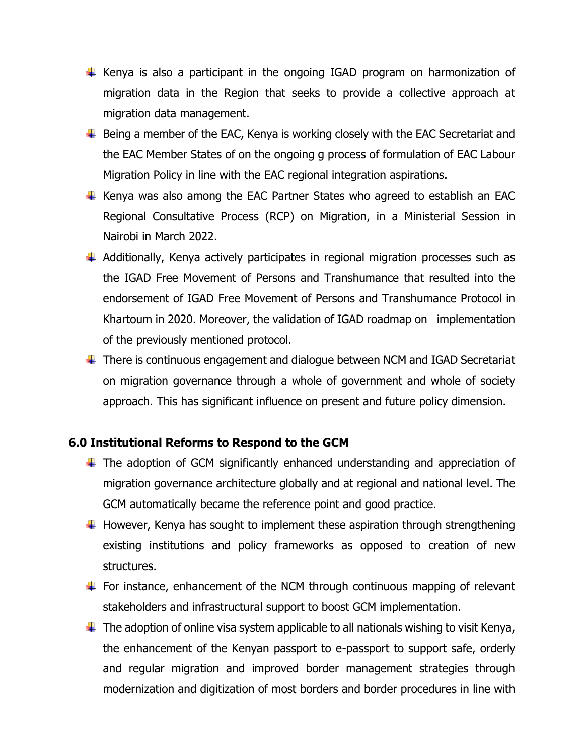- $\ddot$  Kenya is also a participant in the ongoing IGAD program on harmonization of migration data in the Region that seeks to provide a collective approach at migration data management.
- $\overline{\phantom{a}+}$  Being a member of the EAC, Kenya is working closely with the EAC Secretariat and the EAC Member States of on the ongoing g process of formulation of EAC Labour Migration Policy in line with the EAC regional integration aspirations.
- $\ddot$  Kenya was also among the EAC Partner States who agreed to establish an EAC Regional Consultative Process (RCP) on Migration, in a Ministerial Session in Nairobi in March 2022.
- $\ddot$  Additionally, Kenya actively participates in regional migration processes such as the IGAD Free Movement of Persons and Transhumance that resulted into the endorsement of IGAD Free Movement of Persons and Transhumance Protocol in Khartoum in 2020. Moreover, the validation of IGAD roadmap on implementation of the previously mentioned protocol.
- $\ddot{+}$  There is continuous engagement and dialogue between NCM and IGAD Secretariat on migration governance through a whole of government and whole of society approach. This has significant influence on present and future policy dimension.

#### **6.0 Institutional Reforms to Respond to the GCM**

- $\ddot$  The adoption of GCM significantly enhanced understanding and appreciation of migration governance architecture globally and at regional and national level. The GCM automatically became the reference point and good practice.
- $\ddotplus$  However, Kenya has sought to implement these aspiration through strengthening existing institutions and policy frameworks as opposed to creation of new structures.
- $\ddot{\phantom{1}}$  For instance, enhancement of the NCM through continuous mapping of relevant stakeholders and infrastructural support to boost GCM implementation.
- $\ddotplus$  The adoption of online visa system applicable to all nationals wishing to visit Kenya, the enhancement of the Kenyan passport to e-passport to support safe, orderly and regular migration and improved border management strategies through modernization and digitization of most borders and border procedures in line with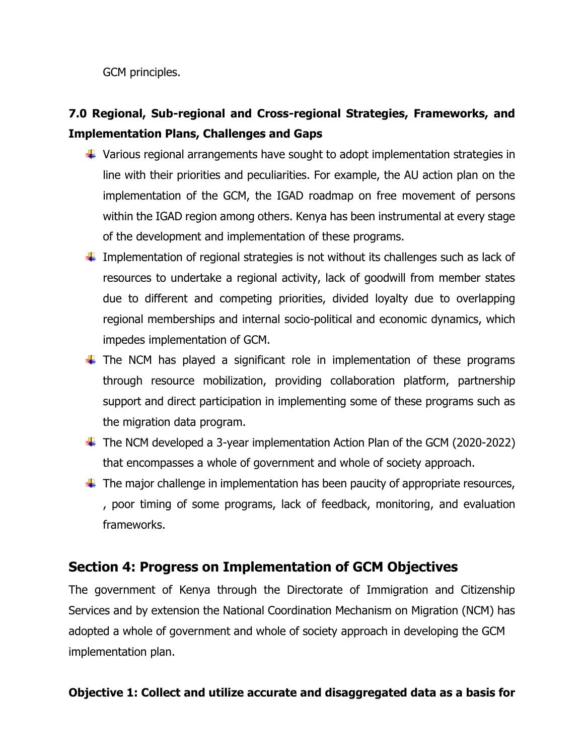GCM principles.

## **7.0 Regional, Sub-regional and Cross-regional Strategies, Frameworks, and Implementation Plans, Challenges and Gaps**

- $\ddotplus$  Various regional arrangements have sought to adopt implementation strategies in line with their priorities and peculiarities. For example, the AU action plan on the implementation of the GCM, the IGAD roadmap on free movement of persons within the IGAD region among others. Kenya has been instrumental at every stage of the development and implementation of these programs.
- $\ddot{+}$  Implementation of regional strategies is not without its challenges such as lack of resources to undertake a regional activity, lack of goodwill from member states due to different and competing priorities, divided loyalty due to overlapping regional memberships and internal socio-political and economic dynamics, which impedes implementation of GCM.
- $\ddot$  The NCM has played a significant role in implementation of these programs through resource mobilization, providing collaboration platform, partnership support and direct participation in implementing some of these programs such as the migration data program.
- $\ddot{+}$  The NCM developed a 3-year implementation Action Plan of the GCM (2020-2022) that encompasses a whole of government and whole of society approach.
- $\ddotplus$  The major challenge in implementation has been paucity of appropriate resources, , poor timing of some programs, lack of feedback, monitoring, and evaluation frameworks.

### **Section 4: Progress on Implementation of GCM Objectives**

The government of Kenya through the Directorate of Immigration and Citizenship Services and by extension the National Coordination Mechanism on Migration (NCM) has adopted a whole of government and whole of society approach in developing the GCM implementation plan.

### **Objective 1: Collect and utilize accurate and disaggregated data as a basis for**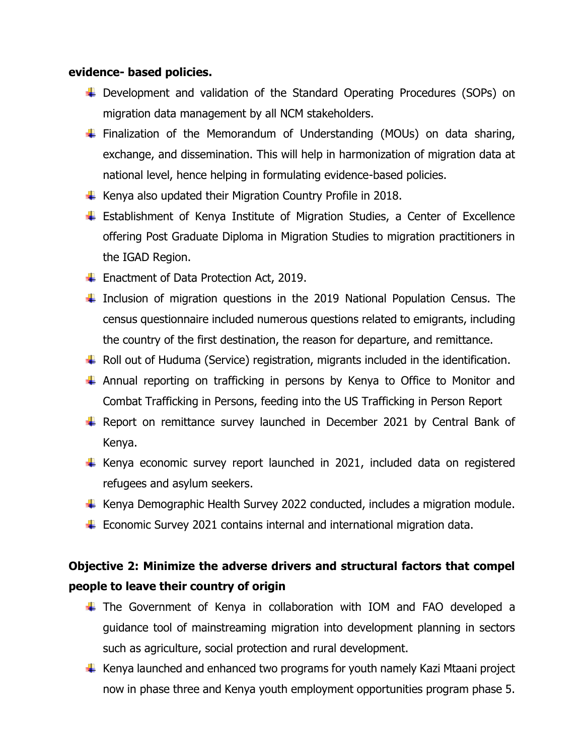#### **evidence- based policies.**

- ↓ Development and validation of the Standard Operating Procedures (SOPs) on migration data management by all NCM stakeholders.
- $\ddot$  Finalization of the Memorandum of Understanding (MOUs) on data sharing, exchange, and dissemination. This will help in harmonization of migration data at national level, hence helping in formulating evidence-based policies.
- $\ddot$  Kenya also updated their Migration Country Profile in 2018.
- Establishment of Kenya Institute of Migration Studies, a Center of Excellence offering Post Graduate Diploma in Migration Studies to migration practitioners in the IGAD Region.
- $\overline{\phantom{a}}$  Enactment of Data Protection Act, 2019.
- $\ddot$  Inclusion of migration questions in the 2019 National Population Census. The census questionnaire included numerous questions related to emigrants, including the country of the first destination, the reason for departure, and remittance.
- $\ddotplus$  Roll out of Huduma (Service) registration, migrants included in the identification.
- $\ddot$  Annual reporting on trafficking in persons by Kenya to Office to Monitor and Combat Trafficking in Persons, feeding into the US Trafficking in Person Report
- $\ddot$  Report on remittance survey launched in December 2021 by Central Bank of Kenya.
- $\ddot$  Kenya economic survey report launched in 2021, included data on registered refugees and asylum seekers.
- $\ddotplus$  Kenya Demographic Health Survey 2022 conducted, includes a migration module.
- $\ddot{\phantom{1}}$  Economic Survey 2021 contains internal and international migration data.

### **Objective 2: Minimize the adverse drivers and structural factors that compel people to leave their country of origin**

- $\ddot$  The Government of Kenya in collaboration with IOM and FAO developed a guidance tool of mainstreaming migration into development planning in sectors such as agriculture, social protection and rural development.
- $\ddotplus$  Kenya launched and enhanced two programs for youth namely Kazi Mtaani project now in phase three and Kenya youth employment opportunities program phase 5.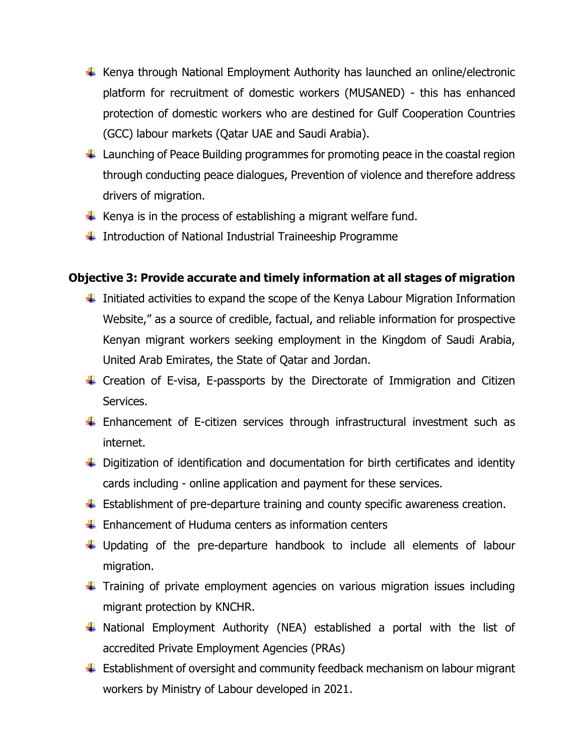- $\ddotplus$  Kenya through National Employment Authority has launched an online/electronic platform for recruitment of domestic workers (MUSANED) - this has enhanced protection of domestic workers who are destined for Gulf Cooperation Countries (GCC) labour markets (Qatar UAE and Saudi Arabia).
- $\ddot{\phantom{1}}$  Launching of Peace Building programmes for promoting peace in the coastal region through conducting peace dialogues, Prevention of violence and therefore address drivers of migration.
- Kenya is in the process of establishing a migrant welfare fund.
- $\ddotplus$  Introduction of National Industrial Traineeship Programme

### **Objective 3: Provide accurate and timely information at all stages of migration**

- $\ddot{\phantom{1}}$  Initiated activities to expand the scope of the Kenya Labour Migration Information Website," as a source of credible, factual, and reliable information for prospective Kenyan migrant workers seeking employment in the Kingdom of Saudi Arabia, United Arab Emirates, the State of Qatar and Jordan.
- $\ddot$  Creation of E-visa, E-passports by the Directorate of Immigration and Citizen Services.
- $\ddot$  Enhancement of E-citizen services through infrastructural investment such as internet.
- $\ddot{\phantom{1}}$  Digitization of identification and documentation for birth certificates and identity cards including - online application and payment for these services.
- $\ddot{\phantom{1}}$  Establishment of pre-departure training and county specific awareness creation.
- $\frac{1}{\sqrt{2}}$  Enhancement of Huduma centers as information centers
- $\ddotplus$  Updating of the pre-departure handbook to include all elements of labour migration.
- $\ddot$  Training of private employment agencies on various migration issues including migrant protection by KNCHR.
- $\ddot$  National Employment Authority (NEA) established a portal with the list of accredited Private Employment Agencies (PRAs)
- $\ddot{\phantom{1}}$  Establishment of oversight and community feedback mechanism on labour migrant workers by Ministry of Labour developed in 2021.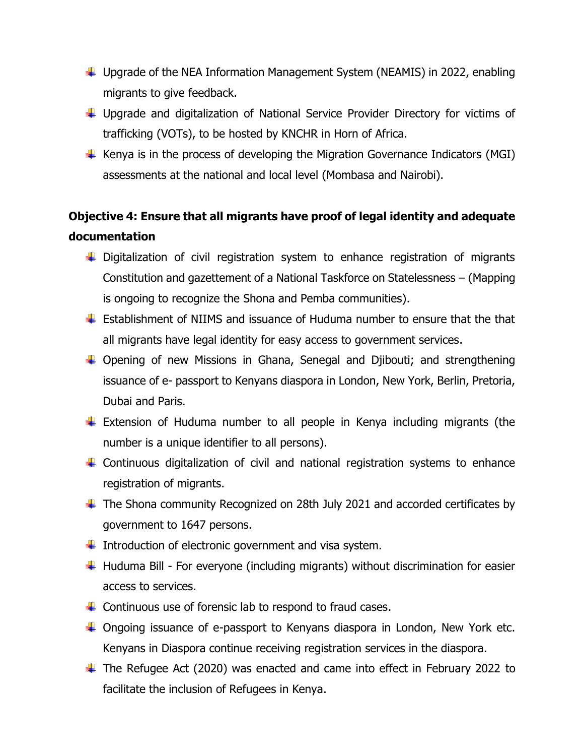- ↓ Upgrade of the NEA Information Management System (NEAMIS) in 2022, enabling migrants to give feedback.
- ↓ Upgrade and digitalization of National Service Provider Directory for victims of trafficking (VOTs), to be hosted by KNCHR in Horn of Africa.
- $\ddot$  Kenya is in the process of developing the Migration Governance Indicators (MGI) assessments at the national and local level (Mombasa and Nairobi).

## **Objective 4: Ensure that all migrants have proof of legal identity and adequate documentation**

- $\ddot{+}$  Digitalization of civil registration system to enhance registration of migrants Constitution and gazettement of a National Taskforce on Statelessness – (Mapping is ongoing to recognize the Shona and Pemba communities).
- **Establishment of NIIMS and issuance of Huduma number to ensure that the that** all migrants have legal identity for easy access to government services.
- $\ddot$  Opening of new Missions in Ghana, Senegal and Djibouti; and strengthening issuance of e- passport to Kenyans diaspora in London, New York, Berlin, Pretoria, Dubai and Paris.
- $\ddot$  Extension of Huduma number to all people in Kenya including migrants (the number is a unique identifier to all persons).
- $\ddot{+}$  Continuous digitalization of civil and national registration systems to enhance registration of migrants.
- $\ddot$  The Shona community Recognized on 28th July 2021 and accorded certificates by government to 1647 persons.
- Introduction of electronic government and visa system.
- $\ddot$  Huduma Bill For everyone (including migrants) without discrimination for easier access to services.
- $\ddot$  Continuous use of forensic lab to respond to fraud cases.
- $\ddot{+}$  Ongoing issuance of e-passport to Kenyans diaspora in London, New York etc. Kenyans in Diaspora continue receiving registration services in the diaspora.
- $\ddot$  The Refugee Act (2020) was enacted and came into effect in February 2022 to facilitate the inclusion of Refugees in Kenya.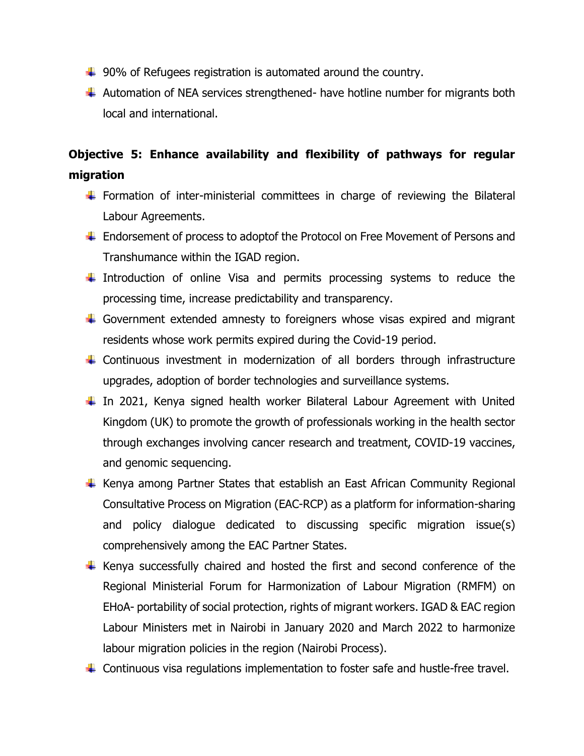- $\ddotplus$  90% of Refugees registration is automated around the country.
- $\ddotplus$  Automation of NEA services strengthened- have hotline number for migrants both local and international.

### **Objective 5: Enhance availability and flexibility of pathways for regular migration**

- $\ddot{\phantom{1}}$  Formation of inter-ministerial committees in charge of reviewing the Bilateral Labour Agreements.
- ↓ Endorsement of process to adoptof the Protocol on Free Movement of Persons and Transhumance within the IGAD region.
- $\ddot$  Introduction of online Visa and permits processing systems to reduce the processing time, increase predictability and transparency.
- $\ddot{+}$  Government extended amnesty to foreigners whose visas expired and migrant residents whose work permits expired during the Covid-19 period.
- $\ddot$  Continuous investment in modernization of all borders through infrastructure upgrades, adoption of border technologies and surveillance systems.
- $\ddot$  In 2021, Kenya signed health worker Bilateral Labour Agreement with United Kingdom (UK) to promote the growth of professionals working in the health sector through exchanges involving cancer research and treatment, COVID-19 vaccines, and genomic sequencing.
- $\ddot$  Kenya among Partner States that establish an East African Community Regional Consultative Process on Migration (EAC-RCP) as a platform for information-sharing and policy dialogue dedicated to discussing specific migration issue(s) comprehensively among the EAC Partner States.
- $\ddot$  Kenya successfully chaired and hosted the first and second conference of the Regional Ministerial Forum for Harmonization of Labour Migration (RMFM) on EHoA- portability of social protection, rights of migrant workers. IGAD & EAC region Labour Ministers met in Nairobi in January 2020 and March 2022 to harmonize labour migration policies in the region (Nairobi Process).
- $\ddot$  Continuous visa regulations implementation to foster safe and hustle-free travel.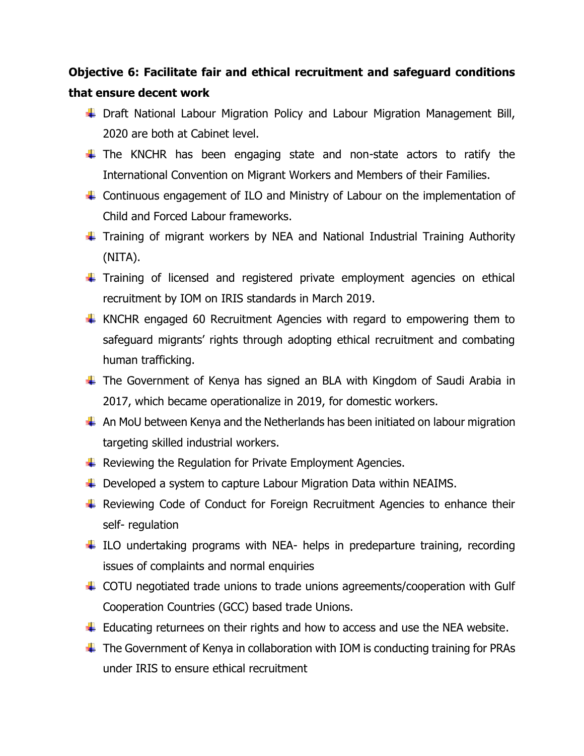### **Objective 6: Facilitate fair and ethical recruitment and safeguard conditions that ensure decent work**

- ↓ Draft National Labour Migration Policy and Labour Migration Management Bill, 2020 are both at Cabinet level.
- $\ddot$  The KNCHR has been engaging state and non-state actors to ratify the International Convention on Migrant Workers and Members of their Families.
- $\ddot$  Continuous engagement of ILO and Ministry of Labour on the implementation of Child and Forced Labour frameworks.
- Training of migrant workers by NEA and National Industrial Training Authority (NITA).
- Training of licensed and registered private employment agencies on ethical recruitment by IOM on IRIS standards in March 2019.
- $\ddot$  KNCHR engaged 60 Recruitment Agencies with regard to empowering them to safeguard migrants' rights through adopting ethical recruitment and combating human trafficking.
- $\ddot$  The Government of Kenya has signed an BLA with Kingdom of Saudi Arabia in 2017, which became operationalize in 2019, for domestic workers.
- $\ddotplus$  An MoU between Kenya and the Netherlands has been initiated on labour migration targeting skilled industrial workers.
- $\ddotplus$  Reviewing the Regulation for Private Employment Agencies.
- ↓ Developed a system to capture Labour Migration Data within NEAIMS.
- $\ddot$  Reviewing Code of Conduct for Foreign Recruitment Agencies to enhance their self- regulation
- $\ddotplus$  ILO undertaking programs with NEA- helps in predeparture training, recording issues of complaints and normal enquiries
- ↓ COTU negotiated trade unions to trade unions agreements/cooperation with Gulf Cooperation Countries (GCC) based trade Unions.
- $\ddot{+}$  Educating returnees on their rights and how to access and use the NEA website.
- $\ddotplus$  The Government of Kenya in collaboration with IOM is conducting training for PRAs under IRIS to ensure ethical recruitment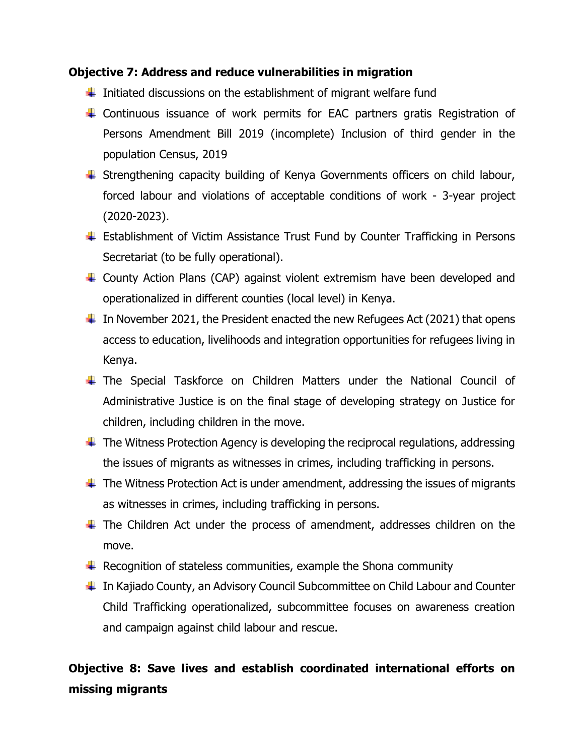#### **Objective 7: Address and reduce vulnerabilities in migration**

- $\ddot{\phantom{1}}$  Initiated discussions on the establishment of migrant welfare fund
- Continuous issuance of work permits for EAC partners gratis Registration of Persons Amendment Bill 2019 (incomplete) Inclusion of third gender in the population Census, 2019
- Strengthening capacity building of Kenya Governments officers on child labour, forced labour and violations of acceptable conditions of work - 3-year project (2020-2023).
- ↓ Establishment of Victim Assistance Trust Fund by Counter Trafficking in Persons Secretariat (to be fully operational).
- County Action Plans (CAP) against violent extremism have been developed and operationalized in different counties (local level) in Kenya.
- $\ddot{\phantom{1}}$  In November 2021, the President enacted the new Refugees Act (2021) that opens access to education, livelihoods and integration opportunities for refugees living in Kenya.
- The Special Taskforce on Children Matters under the National Council of Administrative Justice is on the final stage of developing strategy on Justice for children, including children in the move.
- $\ddot$  The Witness Protection Agency is developing the reciprocal regulations, addressing the issues of migrants as witnesses in crimes, including trafficking in persons.
- $\ddot{\phantom{1}}$  The Witness Protection Act is under amendment, addressing the issues of migrants as witnesses in crimes, including trafficking in persons.
- $\ddot$  The Children Act under the process of amendment, addresses children on the move.
- $\ddotplus$  Recognition of stateless communities, example the Shona community
- $\ddot{\phantom{1}}$  In Kajiado County, an Advisory Council Subcommittee on Child Labour and Counter Child Trafficking operationalized, subcommittee focuses on awareness creation and campaign against child labour and rescue.

## **Objective 8: Save lives and establish coordinated international efforts on missing migrants**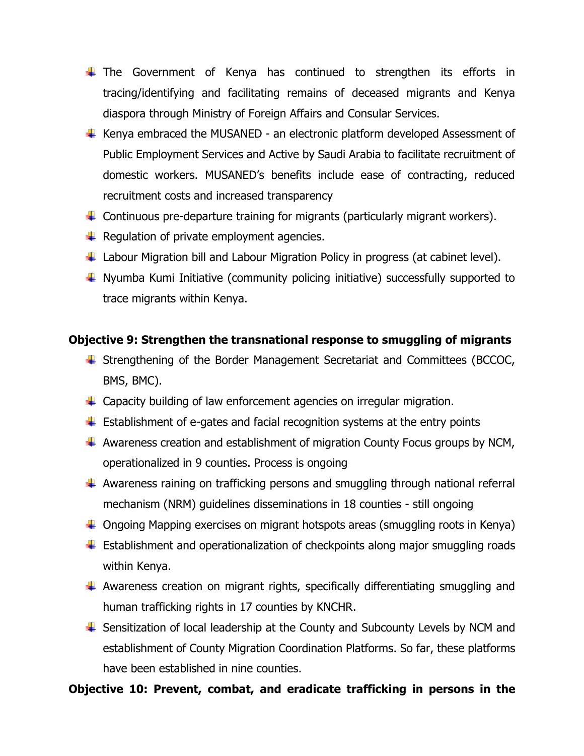- $\ddot$  The Government of Kenya has continued to strengthen its efforts in tracing/identifying and facilitating remains of deceased migrants and Kenya diaspora through Ministry of Foreign Affairs and Consular Services.
- $\ddot$  Kenya embraced the MUSANED an electronic platform developed Assessment of Public Employment Services and Active by Saudi Arabia to facilitate recruitment of domestic workers. MUSANED's benefits include ease of contracting, reduced recruitment costs and increased transparency
- $\ddot{\phantom{1}}$  Continuous pre-departure training for migrants (particularly migrant workers).
- $\downarrow$  Regulation of private employment agencies.
- $\ddot{+}$  Labour Migration bill and Labour Migration Policy in progress (at cabinet level).
- $\ddotplus$  Nyumba Kumi Initiative (community policing initiative) successfully supported to trace migrants within Kenya.

### **Objective 9: Strengthen the transnational response to smuggling of migrants**

- Strengthening of the Border Management Secretariat and Committees (BCCOC, BMS, BMC).
- $\ddot{\phantom{1}}$  Capacity building of law enforcement agencies on irregular migration.
- $\ddot{\phantom{1}}$  Establishment of e-gates and facial recognition systems at the entry points
- $\ddotplus$  Awareness creation and establishment of migration County Focus groups by NCM, operationalized in 9 counties. Process is ongoing
- $\ddotplus$  Awareness raining on trafficking persons and smuggling through national referral mechanism (NRM) guidelines disseminations in 18 counties - still ongoing
- $\downarrow$  Ongoing Mapping exercises on migrant hotspots areas (smuggling roots in Kenya)
- $\ddot{\phantom{1}}$  Establishment and operationalization of checkpoints along major smuggling roads within Kenya.
- $\ddotplus$  Awareness creation on migrant rights, specifically differentiating smuggling and human trafficking rights in 17 counties by KNCHR.
- $\ddot{\phantom{1}}$  Sensitization of local leadership at the County and Subcounty Levels by NCM and establishment of County Migration Coordination Platforms. So far, these platforms have been established in nine counties.

### **Objective 10: Prevent, combat, and eradicate trafficking in persons in the**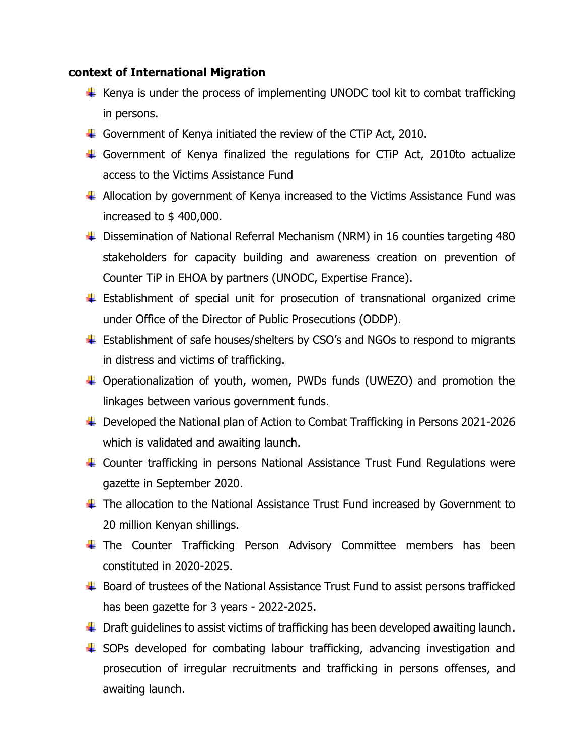#### **context of International Migration**

- $\ddot$  Kenya is under the process of implementing UNODC tool kit to combat trafficking in persons.
- Government of Kenya initiated the review of the CTiP Act, 2010.
- Government of Kenya finalized the regulations for CTiP Act, 2010to actualize access to the Victims Assistance Fund
- $\ddot{*}$  Allocation by government of Kenya increased to the Victims Assistance Fund was increased to \$ 400,000.
- ↓ Dissemination of National Referral Mechanism (NRM) in 16 counties targeting 480 stakeholders for capacity building and awareness creation on prevention of Counter TiP in EHOA by partners (UNODC, Expertise France).
- $\ddot$  Establishment of special unit for prosecution of transnational organized crime under Office of the Director of Public Prosecutions (ODDP).
- ↓ Establishment of safe houses/shelters by CSO's and NGOs to respond to migrants in distress and victims of trafficking.
- Operationalization of youth, women, PWDs funds (UWEZO) and promotion the linkages between various government funds.
- ↓ Developed the National plan of Action to Combat Trafficking in Persons 2021-2026 which is validated and awaiting launch.
- $\ddot{+}$  Counter trafficking in persons National Assistance Trust Fund Regulations were gazette in September 2020.
- $\ddot$  The allocation to the National Assistance Trust Fund increased by Government to 20 million Kenyan shillings.
- **The Counter Trafficking Person Advisory Committee members has been** constituted in 2020-2025.
- $\ddot{+}$  Board of trustees of the National Assistance Trust Fund to assist persons trafficked has been gazette for 3 years - 2022-2025.
- $\ddot{\phantom{1}}$  Draft guidelines to assist victims of trafficking has been developed awaiting launch.
- SOPs developed for combating labour trafficking, advancing investigation and prosecution of irregular recruitments and trafficking in persons offenses, and awaiting launch.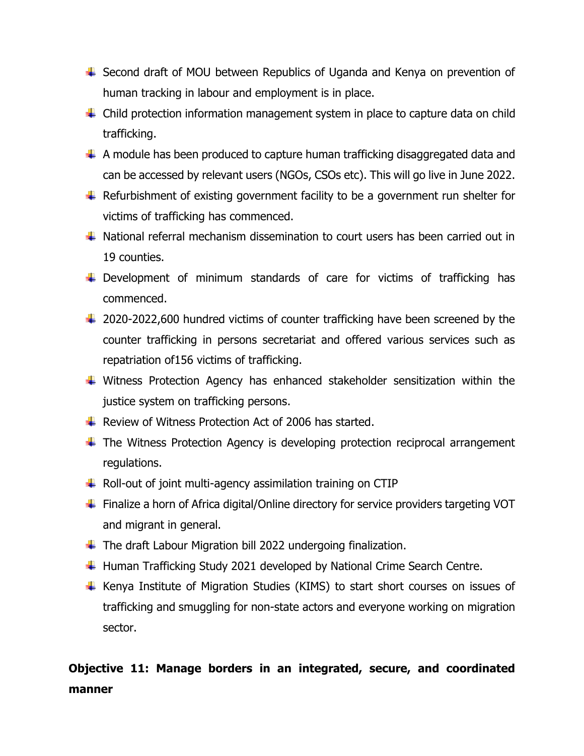- ↓ Second draft of MOU between Republics of Uganda and Kenya on prevention of human tracking in labour and employment is in place.
- $\ddot{+}$  Child protection information management system in place to capture data on child trafficking.
- $\perp$  A module has been produced to capture human trafficking disaggregated data and can be accessed by relevant users (NGOs, CSOs etc). This will go live in June 2022.
- $\ddot{+}$  Refurbishment of existing government facility to be a government run shelter for victims of trafficking has commenced.
- National referral mechanism dissemination to court users has been carried out in 19 counties.
- $\ddot$  Development of minimum standards of care for victims of trafficking has commenced.
- $\ddot{\phantom{1}}$  2020-2022,600 hundred victims of counter trafficking have been screened by the counter trafficking in persons secretariat and offered various services such as repatriation of156 victims of trafficking.
- $\ddotplus$  Witness Protection Agency has enhanced stakeholder sensitization within the justice system on trafficking persons.
- $\pm$  Review of Witness Protection Act of 2006 has started.
- $\ddotplus$  The Witness Protection Agency is developing protection reciprocal arrangement regulations.
- $\ddot{\phantom{1}}$  Roll-out of joint multi-agency assimilation training on CTIP
- $\ddot{\phantom{1}}$  Finalize a horn of Africa digital/Online directory for service providers targeting VOT and migrant in general.
- $\ddotplus$  The draft Labour Migration bill 2022 undergoing finalization.
- $\ddotplus$  Human Trafficking Study 2021 developed by National Crime Search Centre.
- $\ddot$  Kenya Institute of Migration Studies (KIMS) to start short courses on issues of trafficking and smuggling for non-state actors and everyone working on migration sector.

## **Objective 11: Manage borders in an integrated, secure, and coordinated manner**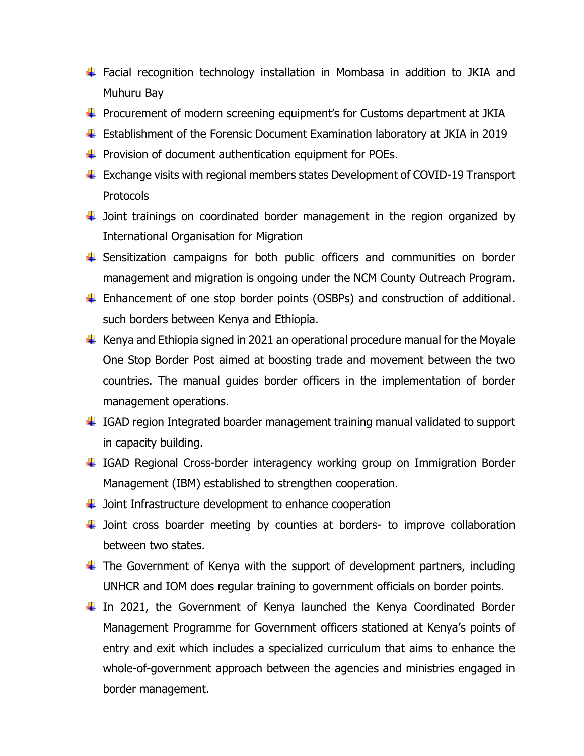- Facial recognition technology installation in Mombasa in addition to JKIA and Muhuru Bay
- $\ddot{+}$  Procurement of modern screening equipment's for Customs department at JKIA
- $\ddot{\phantom{1}}$  Establishment of the Forensic Document Examination laboratory at JKIA in 2019
- $\ddotplus$  Provision of document authentication equipment for POEs.
- $\ddot{\phantom{1}}$  Exchange visits with regional members states Development of COVID-19 Transport Protocols
- $\ddot$  Joint trainings on coordinated border management in the region organized by International Organisation for Migration
- $\ddot$  Sensitization campaigns for both public officers and communities on border management and migration is ongoing under the NCM County Outreach Program.
- Enhancement of one stop border points (OSBPs) and construction of additional. such borders between Kenya and Ethiopia.
- $\ddot{\phantom{1}}$  Kenya and Ethiopia signed in 2021 an operational procedure manual for the Moyale One Stop Border Post aimed at boosting trade and movement between the two countries. The manual guides border officers in the implementation of border management operations.
- ↓ IGAD region Integrated boarder management training manual validated to support in capacity building.
- 4 IGAD Regional Cross-border interagency working group on Immigration Border Management (IBM) established to strengthen cooperation.
- $\ddot{\phantom{1}}$  Joint Infrastructure development to enhance cooperation
- $\ddot$  Joint cross boarder meeting by counties at borders- to improve collaboration between two states.
- $\ddot$  The Government of Kenya with the support of development partners, including UNHCR and IOM does regular training to government officials on border points.
- $\ddagger$  In 2021, the Government of Kenya launched the Kenya Coordinated Border Management Programme for Government officers stationed at Kenya's points of entry and exit which includes a specialized curriculum that aims to enhance the whole-of-government approach between the agencies and ministries engaged in border management.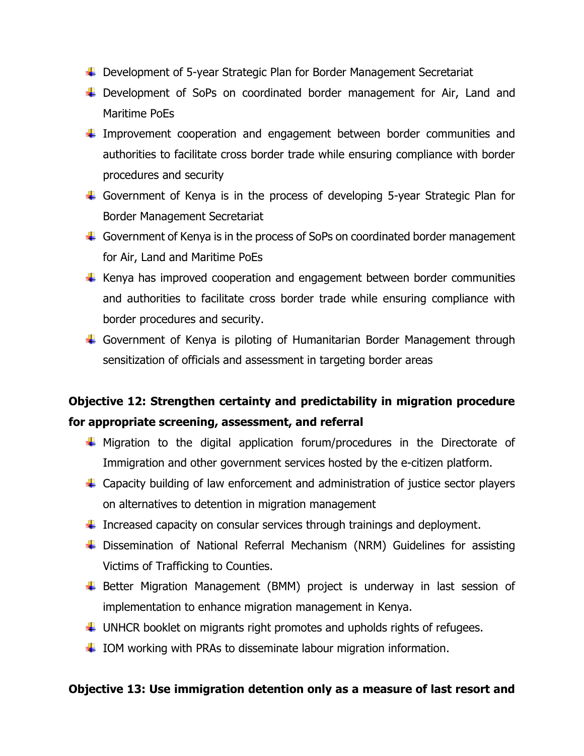- ↓ Development of 5-year Strategic Plan for Border Management Secretariat
- ↓ Development of SoPs on coordinated border management for Air, Land and Maritime PoEs
- $\ddagger$  Improvement cooperation and engagement between border communities and authorities to facilitate cross border trade while ensuring compliance with border procedures and security
- Government of Kenya is in the process of developing 5-year Strategic Plan for Border Management Secretariat
- $\ddot{\phantom{1}}$  Government of Kenya is in the process of SoPs on coordinated border management for Air, Land and Maritime PoEs
- $\ddot$  Kenya has improved cooperation and engagement between border communities and authorities to facilitate cross border trade while ensuring compliance with border procedures and security.
- ↓ Government of Kenya is piloting of Humanitarian Border Management through sensitization of officials and assessment in targeting border areas

## **Objective 12: Strengthen certainty and predictability in migration procedure for appropriate screening, assessment, and referral**

- $\ddot$  Migration to the digital application forum/procedures in the Directorate of Immigration and other government services hosted by the e-citizen platform.
- $\ddot{+}$  Capacity building of law enforcement and administration of justice sector players on alternatives to detention in migration management
- $\ddot{\phantom{1}}$  Increased capacity on consular services through trainings and deployment.
- Dissemination of National Referral Mechanism (NRM) Guidelines for assisting Victims of Trafficking to Counties.
- Better Migration Management (BMM) project is underway in last session of implementation to enhance migration management in Kenya.
- $\ddotplus$  UNHCR booklet on migrants right promotes and upholds rights of refugees.
- $\ddotplus$  IOM working with PRAs to disseminate labour migration information.

#### **Objective 13: Use immigration detention only as a measure of last resort and**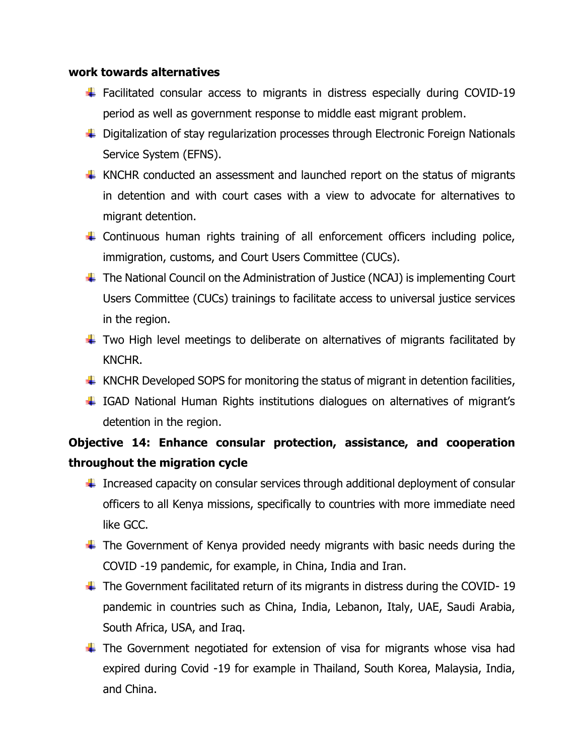#### **work towards alternatives**

- $\ddot$  Facilitated consular access to migrants in distress especially during COVID-19 period as well as government response to middle east migrant problem.
- ↓ Digitalization of stay regularization processes through Electronic Foreign Nationals Service System (EFNS).
- $\uparrow$  KNCHR conducted an assessment and launched report on the status of migrants in detention and with court cases with a view to advocate for alternatives to migrant detention.
- $\ddot$  Continuous human rights training of all enforcement officers including police, immigration, customs, and Court Users Committee (CUCs).
- $\ddotplus$  The National Council on the Administration of Justice (NCAJ) is implementing Court Users Committee (CUCs) trainings to facilitate access to universal justice services in the region.
- $\ddot$  Two High level meetings to deliberate on alternatives of migrants facilitated by KNCHR.
- $\ddotplus$  KNCHR Developed SOPS for monitoring the status of migrant in detention facilities,
- IGAD National Human Rights institutions dialogues on alternatives of migrant's detention in the region.

### **Objective 14: Enhance consular protection, assistance, and cooperation throughout the migration cycle**

- $\ddot{+}$  Increased capacity on consular services through additional deployment of consular officers to all Kenya missions, specifically to countries with more immediate need like GCC.
- $\ddot$  The Government of Kenya provided needy migrants with basic needs during the COVID -19 pandemic, for example, in China, India and Iran.
- $\ddot{\phantom{1}}$  The Government facilitated return of its migrants in distress during the COVID-19 pandemic in countries such as China, India, Lebanon, Italy, UAE, Saudi Arabia, South Africa, USA, and Iraq.
- $\ddot$  The Government negotiated for extension of visa for migrants whose visa had expired during Covid -19 for example in Thailand, South Korea, Malaysia, India, and China.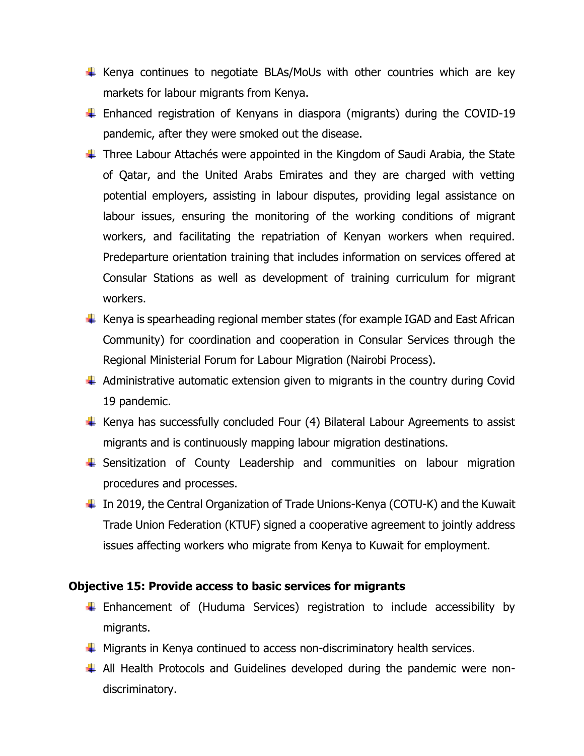- $\ddot$  Kenya continues to negotiate BLAs/MoUs with other countries which are key markets for labour migrants from Kenya.
- Enhanced registration of Kenyans in diaspora (migrants) during the COVID-19 pandemic, after they were smoked out the disease.
- $\ddotplus$  Three Labour Attachés were appointed in the Kingdom of Saudi Arabia, the State of Qatar, and the United Arabs Emirates and they are charged with vetting potential employers, assisting in labour disputes, providing legal assistance on labour issues, ensuring the monitoring of the working conditions of migrant workers, and facilitating the repatriation of Kenyan workers when required. Predeparture orientation training that includes information on services offered at Consular Stations as well as development of training curriculum for migrant workers.
- $\ddot{\phantom{1}}$  Kenya is spearheading regional member states (for example IGAD and East African Community) for coordination and cooperation in Consular Services through the Regional Ministerial Forum for Labour Migration (Nairobi Process).
- $\ddot$  Administrative automatic extension given to migrants in the country during Covid 19 pandemic.
- $\ddotplus$  Kenya has successfully concluded Four (4) Bilateral Labour Agreements to assist migrants and is continuously mapping labour migration destinations.
- $\ddot$  Sensitization of County Leadership and communities on labour migration procedures and processes.
- $\ddot{\phantom{1}}$  In 2019, the Central Organization of Trade Unions-Kenya (COTU-K) and the Kuwait Trade Union Federation (KTUF) signed a cooperative agreement to jointly address issues affecting workers who migrate from Kenya to Kuwait for employment.

#### **Objective 15: Provide access to basic services for migrants**

- Enhancement of (Huduma Services) registration to include accessibility by migrants.
- $\ddotplus$  Migrants in Kenya continued to access non-discriminatory health services.
- All Health Protocols and Guidelines developed during the pandemic were nondiscriminatory.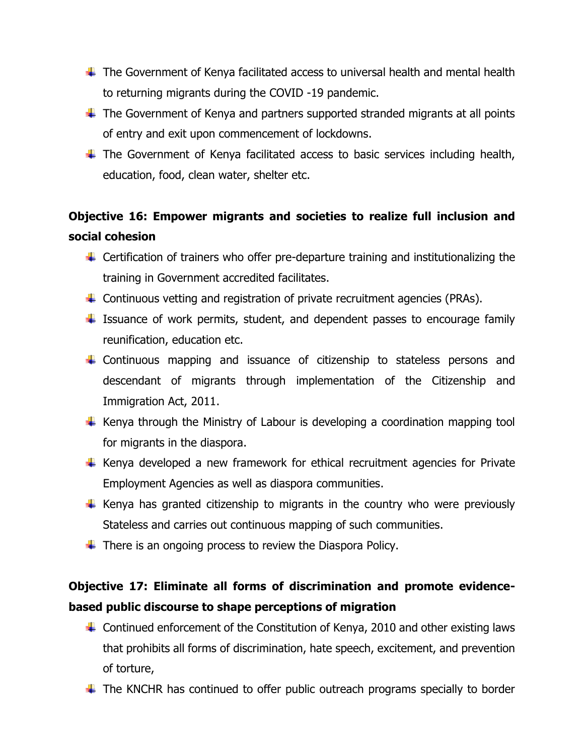- $\ddotplus$  The Government of Kenya facilitated access to universal health and mental health to returning migrants during the COVID -19 pandemic.
- $\ddotplus$  The Government of Kenya and partners supported stranded migrants at all points of entry and exit upon commencement of lockdowns.
- $\ddot$  The Government of Kenya facilitated access to basic services including health, education, food, clean water, shelter etc.

### **Objective 16: Empower migrants and societies to realize full inclusion and social cohesion**

- $\ddot{\phantom{1}}$  Certification of trainers who offer pre-departure training and institutionalizing the training in Government accredited facilitates.
- $\ddot{\phantom{1}}$  Continuous vetting and registration of private recruitment agencies (PRAs).
- $\ddot$  Issuance of work permits, student, and dependent passes to encourage family reunification, education etc.
- $\ddot$  Continuous mapping and issuance of citizenship to stateless persons and descendant of migrants through implementation of the Citizenship and Immigration Act, 2011.
- $\ddotplus$  Kenya through the Ministry of Labour is developing a coordination mapping tool for migrants in the diaspora.
- $\ddot$  Kenya developed a new framework for ethical recruitment agencies for Private Employment Agencies as well as diaspora communities.
- $\ddot$  Kenya has granted citizenship to migrants in the country who were previously Stateless and carries out continuous mapping of such communities.
- $\ddotplus$  There is an ongoing process to review the Diaspora Policy.

## **Objective 17: Eliminate all forms of discrimination and promote evidencebased public discourse to shape perceptions of migration**

- $\ddot{\phantom{1}}$  Continued enforcement of the Constitution of Kenya, 2010 and other existing laws that prohibits all forms of discrimination, hate speech, excitement, and prevention of torture,
- $\ddotplus$  The KNCHR has continued to offer public outreach programs specially to border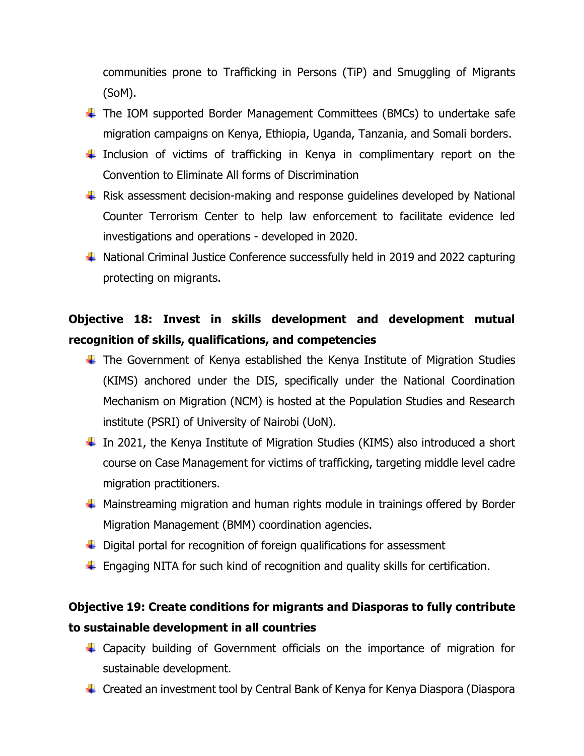communities prone to Trafficking in Persons (TiP) and Smuggling of Migrants (SoM).

- $\ddot$  The IOM supported Border Management Committees (BMCs) to undertake safe migration campaigns on Kenya, Ethiopia, Uganda, Tanzania, and Somali borders.
- Inclusion of victims of trafficking in Kenya in complimentary report on the Convention to Eliminate All forms of Discrimination
- $\ddotplus$  Risk assessment decision-making and response guidelines developed by National Counter Terrorism Center to help law enforcement to facilitate evidence led investigations and operations - developed in 2020.
- $\ddot{+}$  National Criminal Justice Conference successfully held in 2019 and 2022 capturing protecting on migrants.

## **Objective 18: Invest in skills development and development mutual recognition of skills, qualifications, and competencies**

- $\ddot$  The Government of Kenya established the Kenya Institute of Migration Studies (KIMS) anchored under the DIS, specifically under the National Coordination Mechanism on Migration (NCM) is hosted at the Population Studies and Research institute (PSRI) of University of Nairobi (UoN).
- $\ddot$  In 2021, the Kenya Institute of Migration Studies (KIMS) also introduced a short course on Case Management for victims of trafficking, targeting middle level cadre migration practitioners.
- $\ddot$  Mainstreaming migration and human rights module in trainings offered by Border Migration Management (BMM) coordination agencies.
- $\ddot{\phantom{1}}$  Digital portal for recognition of foreign qualifications for assessment
- $\ddot{\phantom{1}}$  Engaging NITA for such kind of recognition and quality skills for certification.

### **Objective 19: Create conditions for migrants and Diasporas to fully contribute to sustainable development in all countries**

- Capacity building of Government officials on the importance of migration for sustainable development.
- Created an investment tool by Central Bank of Kenya for Kenya Diaspora (Diaspora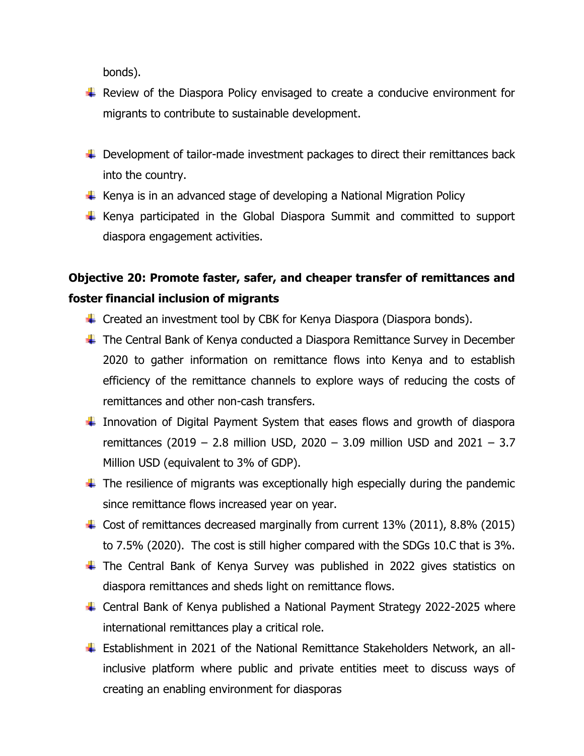bonds).

- $\ddot{+}$  Review of the Diaspora Policy envisaged to create a conducive environment for migrants to contribute to sustainable development.
- $\ddotplus$  Development of tailor-made investment packages to direct their remittances back into the country.
- $\ddot$  Kenya is in an advanced stage of developing a National Migration Policy
- $\ddot$  Kenya participated in the Global Diaspora Summit and committed to support diaspora engagement activities.

## **Objective 20: Promote faster, safer, and cheaper transfer of remittances and foster financial inclusion of migrants**

- $\ddot{+}$  Created an investment tool by CBK for Kenya Diaspora (Diaspora bonds).
- $\ddot$  The Central Bank of Kenya conducted a Diaspora Remittance Survey in December 2020 to gather information on remittance flows into Kenya and to establish efficiency of the remittance channels to explore ways of reducing the costs of remittances and other non-cash transfers.
- $\ddot$  Innovation of Digital Payment System that eases flows and growth of diaspora remittances (2019 – 2.8 million USD, 2020 – 3.09 million USD and 2021 – 3.7 Million USD (equivalent to 3% of GDP).
- $\ddot{\phantom{1}}$  The resilience of migrants was exceptionally high especially during the pandemic since remittance flows increased year on year.
- $\ddot{+}$  Cost of remittances decreased marginally from current 13% (2011), 8.8% (2015) to 7.5% (2020). The cost is still higher compared with the SDGs 10.C that is 3%.
- $\ddot$  The Central Bank of Kenya Survey was published in 2022 gives statistics on diaspora remittances and sheds light on remittance flows.
- ↓ Central Bank of Kenya published a National Payment Strategy 2022-2025 where international remittances play a critical role.
- Establishment in 2021 of the National Remittance Stakeholders Network, an allinclusive platform where public and private entities meet to discuss ways of creating an enabling environment for diasporas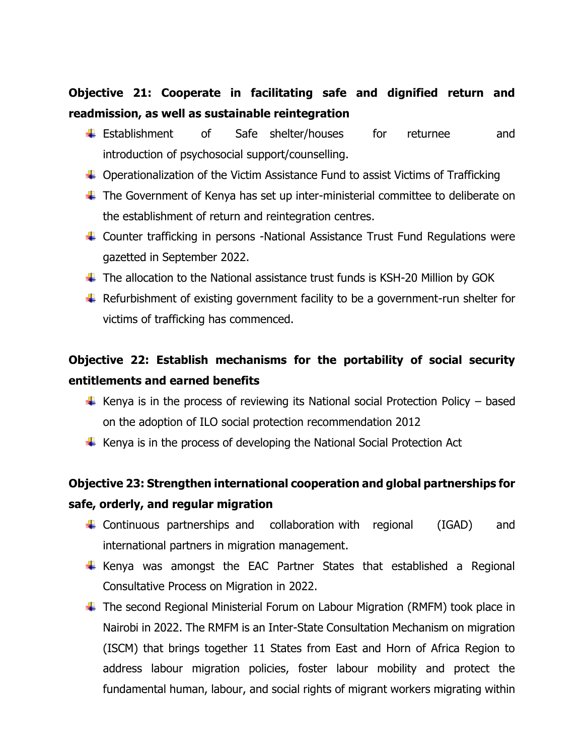### **Objective 21: Cooperate in facilitating safe and dignified return and readmission, as well as sustainable reintegration**

- Establishment of Safe shelter/houses for returnee and introduction of psychosocial support/counselling.
- $\ddot{+}$  Operationalization of the Victim Assistance Fund to assist Victims of Trafficking
- $\ddot$  The Government of Kenya has set up inter-ministerial committee to deliberate on the establishment of return and reintegration centres.
- Counter trafficking in persons -National Assistance Trust Fund Regulations were gazetted in September 2022.
- $\ddotplus$  The allocation to the National assistance trust funds is KSH-20 Million by GOK
- $\ddotplus$  Refurbishment of existing government facility to be a government-run shelter for victims of trafficking has commenced.

## **Objective 22: Establish mechanisms for the portability of social security entitlements and earned benefits**

- $\ddotmark$  Kenya is in the process of reviewing its National social Protection Policy based on the adoption of ILO social protection recommendation 2012
- $\ddot{\phantom{1}}$  Kenya is in the process of developing the National Social Protection Act

### **Objective 23: Strengthen international cooperation and global partnerships for safe, orderly, and regular migration**

- $\downarrow$  Continuous partnerships and collaboration with regional (IGAD) and international partners in migration management.
- $\overline{\text{+}}$  Kenya was amongst the EAC Partner States that established a Regional Consultative Process on Migration in 2022.
- The second Regional Ministerial Forum on Labour Migration (RMFM) took place in Nairobi in 2022. The RMFM is an Inter-State Consultation Mechanism on migration (ISCM) that brings together 11 States from East and Horn of Africa Region to address labour migration policies, foster labour mobility and protect the fundamental human, labour, and social rights of migrant workers migrating within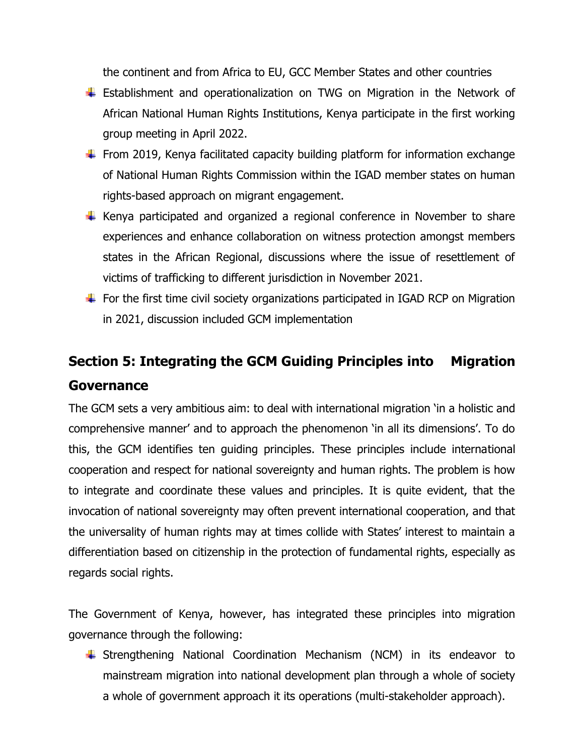the continent and from Africa to EU, GCC Member States and other countries

- Establishment and operationalization on TWG on Migration in the Network of African National Human Rights Institutions, Kenya participate in the first working group meeting in April 2022.
- $\ddot{\phantom{1}}$  From 2019, Kenya facilitated capacity building platform for information exchange of National Human Rights Commission within the IGAD member states on human rights-based approach on migrant engagement.
- $\ddot$  Kenya participated and organized a regional conference in November to share experiences and enhance collaboration on witness protection amongst members states in the African Regional, discussions where the issue of resettlement of victims of trafficking to different jurisdiction in November 2021.
- $\ddot{\phantom{1}}$  For the first time civil society organizations participated in IGAD RCP on Migration in 2021, discussion included GCM implementation

# **Section 5: Integrating the GCM Guiding Principles into Migration Governance**

The GCM sets a very ambitious aim: to deal with international migration 'in a holistic and comprehensive manner' and to approach the phenomenon 'in all its dimensions'. To do this, the GCM identifies ten guiding principles. These principles include international cooperation and respect for national sovereignty and human rights. The problem is how to integrate and coordinate these values and principles. It is quite evident, that the invocation of national sovereignty may often prevent international cooperation, and that the universality of human rights may at times collide with States' interest to maintain a differentiation based on citizenship in the protection of fundamental rights, especially as regards social rights.

The Government of Kenya, however, has integrated these principles into migration governance through the following:

Strengthening National Coordination Mechanism (NCM) in its endeavor to mainstream migration into national development plan through a whole of society a whole of government approach it its operations (multi-stakeholder approach).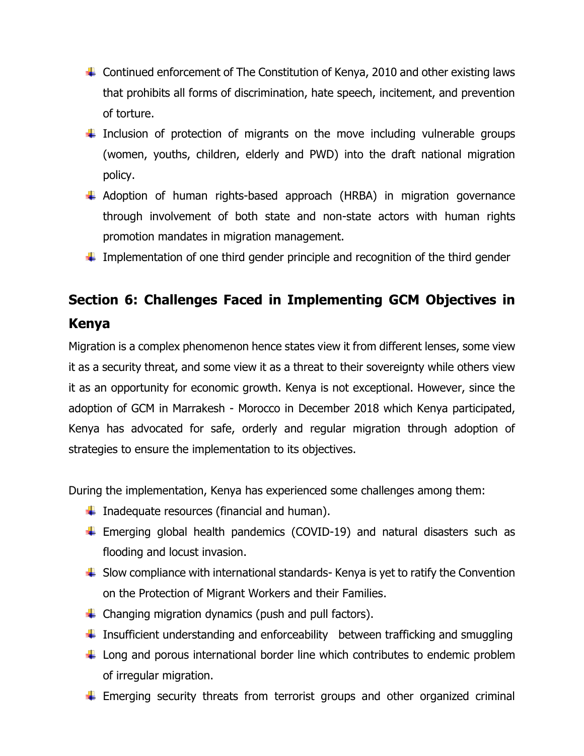- $\ddot{\phantom{1}}$  Continued enforcement of The Constitution of Kenya, 2010 and other existing laws that prohibits all forms of discrimination, hate speech, incitement, and prevention of torture.
- Inclusion of protection of migrants on the move including vulnerable groups (women, youths, children, elderly and PWD) into the draft national migration policy.
- $\ddotplus$  Adoption of human rights-based approach (HRBA) in migration governance through involvement of both state and non-state actors with human rights promotion mandates in migration management.
- Implementation of one third gender principle and recognition of the third gender

# **Section 6: Challenges Faced in Implementing GCM Objectives in Kenya**

Migration is a complex phenomenon hence states view it from different lenses, some view it as a security threat, and some view it as a threat to their sovereignty while others view it as an opportunity for economic growth. Kenya is not exceptional. However, since the adoption of GCM in Marrakesh - Morocco in December 2018 which Kenya participated, Kenya has advocated for safe, orderly and regular migration through adoption of strategies to ensure the implementation to its objectives.

During the implementation, Kenya has experienced some challenges among them:

- $\downarrow$  Inadequate resources (financial and human).
- $\ddot{+}$  Emerging global health pandemics (COVID-19) and natural disasters such as flooding and locust invasion.
- $\ddot{\phantom{1}}$  Slow compliance with international standards- Kenya is yet to ratify the Convention on the Protection of Migrant Workers and their Families.
- $\ddot{+}$  Changing migration dynamics (push and pull factors).
- $\ddot{\phantom{1}}$  Insufficient understanding and enforceability between trafficking and smuggling
- $\ddot{\phantom{1}}$  Long and porous international border line which contributes to endemic problem of irregular migration.
- $\ddot$  Emerging security threats from terrorist groups and other organized criminal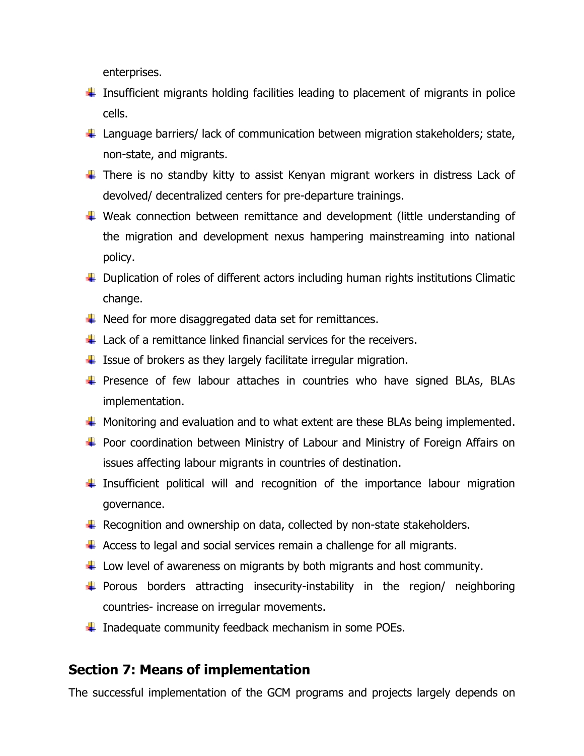enterprises.

- $\ddot{\phantom{1}}$  Insufficient migrants holding facilities leading to placement of migrants in police cells.
- $\ddotplus$  Language barriers/ lack of communication between migration stakeholders; state, non-state, and migrants.
- $\ddot$  There is no standby kitty to assist Kenyan migrant workers in distress Lack of devolved/ decentralized centers for pre-departure trainings.
- Weak connection between remittance and development (little understanding of the migration and development nexus hampering mainstreaming into national policy.
- $\ddot{+}$  Duplication of roles of different actors including human rights institutions Climatic change.
- $\ddotplus$  Need for more disaggregated data set for remittances.
- $\perp$  Lack of a remittance linked financial services for the receivers.
- $\ddotplus$  Issue of brokers as they largely facilitate irregular migration.
- $\ddot$  Presence of few labour attaches in countries who have signed BLAs, BLAs implementation.
- $\ddotplus$  Monitoring and evaluation and to what extent are these BLAs being implemented.
- ↓ Poor coordination between Ministry of Labour and Ministry of Foreign Affairs on issues affecting labour migrants in countries of destination.
- $\ddot{\phantom{1}}$  Insufficient political will and recognition of the importance labour migration governance.
- $\ddotplus$  Recognition and ownership on data, collected by non-state stakeholders.
- $\ddot{+}$  Access to legal and social services remain a challenge for all migrants.
- $\ddot{+}$  Low level of awareness on migrants by both migrants and host community.
- $\ddot{\phantom{1}}$  Porous borders attracting insecurity-instability in the region/ neighboring countries- increase on irregular movements.
- $\ddagger$  Inadequate community feedback mechanism in some POEs.

### **Section 7: Means of implementation**

The successful implementation of the GCM programs and projects largely depends on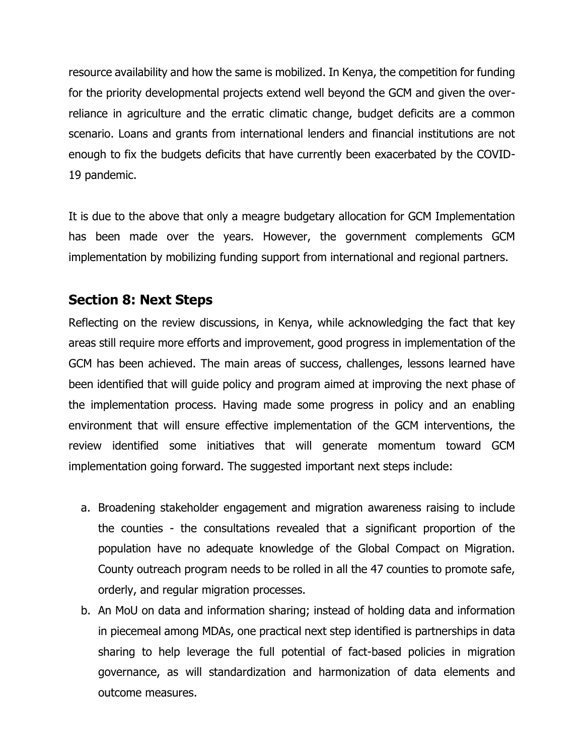resource availability and how the same is mobilized. In Kenya, the competition for funding for the priority developmental projects extend well beyond the GCM and given the overreliance in agriculture and the erratic climatic change, budget deficits are a common scenario. Loans and grants from international lenders and financial institutions are not enough to fix the budgets deficits that have currently been exacerbated by the COVID-19 pandemic.

It is due to the above that only a meagre budgetary allocation for GCM Implementation has been made over the years. However, the government complements GCM implementation by mobilizing funding support from international and regional partners.

### **Section 8: Next Steps**

Reflecting on the review discussions, in Kenya, while acknowledging the fact that key areas still require more efforts and improvement, good progress in implementation of the GCM has been achieved. The main areas of success, challenges, lessons learned have been identified that will guide policy and program aimed at improving the next phase of the implementation process. Having made some progress in policy and an enabling environment that will ensure effective implementation of the GCM interventions, the review identified some initiatives that will generate momentum toward GCM implementation going forward. The suggested important next steps include:

- a. Broadening stakeholder engagement and migration awareness raising to include the counties - the consultations revealed that a significant proportion of the population have no adequate knowledge of the Global Compact on Migration. County outreach program needs to be rolled in all the 47 counties to promote safe, orderly, and regular migration processes.
- b. An MoU on data and information sharing; instead of holding data and information in piecemeal among MDAs, one practical next step identified is partnerships in data sharing to help leverage the full potential of fact-based policies in migration governance, as will standardization and harmonization of data elements and outcome measures.